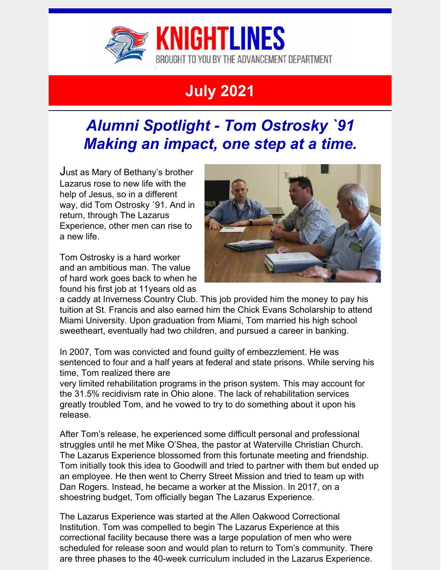

# **July 2021**

## *Alumni Spotlight - Tom Ostrosky `91 Making an impact, one step at a time.*

Just as Mary of Bethany's brother Lazarus rose to new life with the help of Jesus, so in a different way, did Tom Ostrosky `91. And in return, through The Lazarus Experience, other men can rise to a new life.

Tom Ostrosky is a hard worker and an ambitious man. The value of hard work goes back to when he found his first job at 11years old as



a caddy at Inverness Country Club. This job provided him the money to pay his tuition at St. Francis and also earned him the Chick Evans Scholarship to attend Miami University. Upon graduation from Miami, Tom married his high school sweetheart, eventually had two children, and pursued a career in banking.

In 2007, Tom was convicted and found guilty of embezzlement. He was sentenced to four and a half years at federal and state prisons. While serving his time, Tom realized there are

very limited rehabilitation programs in the prison system. This may account for the 31.5% recidivism rate in Ohio alone. The lack of rehabilitation services greatly troubled Tom, and he vowed to try to do something about it upon his release.

After Tom's release, he experienced some difficult personal and professional struggles until he met Mike O'Shea, the pastor at Waterville Christian Church. The Lazarus Experience blossomed from this fortunate meeting and friendship. Tom initially took this idea to Goodwill and tried to partner with them but ended up an employee. He then went to Cherry Street Mission and tried to team up with Dan Rogers. Instead, he became a worker at the Mission. In 2017, on a shoestring budget, Tom officially began The Lazarus Experience.

The Lazarus Experience was started at the Allen Oakwood Correctional Institution. Tom was compelled to begin The Lazarus Experience at this correctional facility because there was a large population of men who were scheduled for release soon and would plan to return to Tom's community. There are three phases to the 40-week curriculum included in the Lazarus Experience.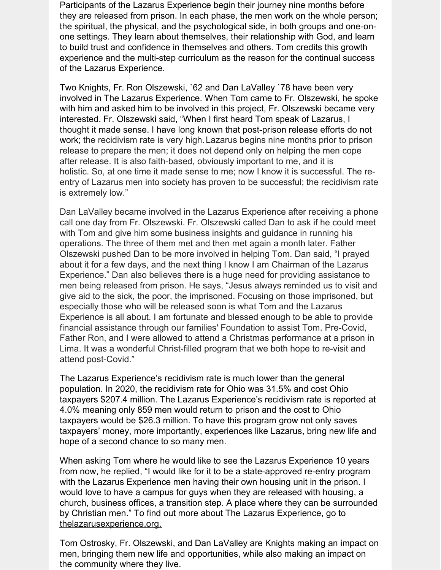Participants of the Lazarus Experience begin their journey nine months before they are released from prison. In each phase, the men work on the whole person; the spiritual, the physical, and the psychological side, in both groups and one-onone settings. They learn about themselves, their relationship with God, and learn to build trust and confidence in themselves and others. Tom credits this growth experience and the multi-step curriculum as the reason for the continual success of the Lazarus Experience.

Two Knights, Fr. Ron Olszewski, `62 and Dan LaValley `78 have been very involved in The Lazarus Experience. When Tom came to Fr. Olszewski, he spoke with him and asked him to be involved in this project, Fr. Olszewski became very interested. Fr. Olszewski said, "When I first heard Tom speak of Lazarus, I thought it made sense. I have long known that post-prison release efforts do not work; the recidivism rate is very high.Lazarus begins nine months prior to prison release to prepare the men; it does not depend only on helping the men cope after release. It is also faith-based, obviously important to me, and it is holistic. So, at one time it made sense to me; now I know it is successful. The reentry of Lazarus men into society has proven to be successful; the recidivism rate is extremely low."

Dan LaValley became involved in the Lazarus Experience after receiving a phone call one day from Fr. Olszewski. Fr. Olszewski called Dan to ask if he could meet with Tom and give him some business insights and guidance in running his operations. The three of them met and then met again a month later. Father Olszewski pushed Dan to be more involved in helping Tom. Dan said, "I prayed about it for a few days, and the next thing I know I am Chairman of the Lazarus Experience." Dan also believes there is a huge need for providing assistance to men being released from prison. He says, "Jesus always reminded us to visit and give aid to the sick, the poor, the imprisoned. Focusing on those imprisoned, but especially those who will be released soon is what Tom and the Lazarus Experience is all about. I am fortunate and blessed enough to be able to provide financial assistance through our families' Foundation to assist Tom. Pre-Covid, Father Ron, and I were allowed to attend a Christmas performance at a prison in Lima. It was a wonderful Christ-filled program that we both hope to re-visit and attend post-Covid."

The Lazarus Experience's recidivism rate is much lower than the general population. In 2020, the recidivism rate for Ohio was 31.5% and cost Ohio taxpayers \$207.4 million. The Lazarus Experience's recidivism rate is reported at 4.0% meaning only 859 men would return to prison and the cost to Ohio taxpayers would be \$26.3 million. To have this program grow not only saves taxpayers' money, more importantly, experiences like Lazarus, bring new life and hope of a second chance to so many men.

When asking Tom where he would like to see the Lazarus Experience 10 years from now, he replied, "I would like for it to be a state-approved re-entry program with the Lazarus Experience men having their own housing unit in the prison. I would love to have a campus for guys when they are released with housing, a church, business offices, a transition step. A place where they can be surrounded by Christian men." To find out more about The Lazarus Experience, go to [thelazarusexperience.org.](https://www.thelazarusexperience.org/)

Tom Ostrosky, Fr. Olszewski, and Dan LaValley are Knights making an impact on men, bringing them new life and opportunities, while also making an impact on the community where they live.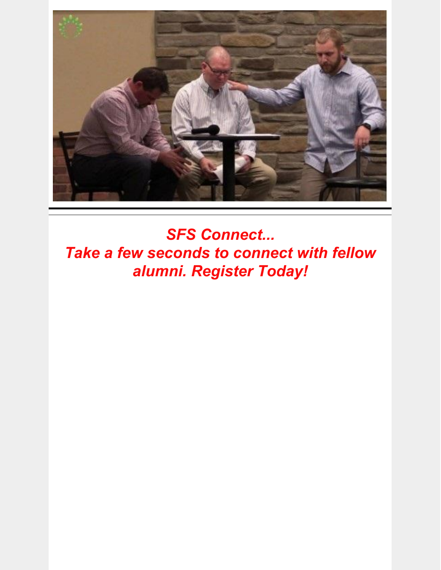

*SFS Connect... Take a few seconds to connect with fellow alumni. Register Today!*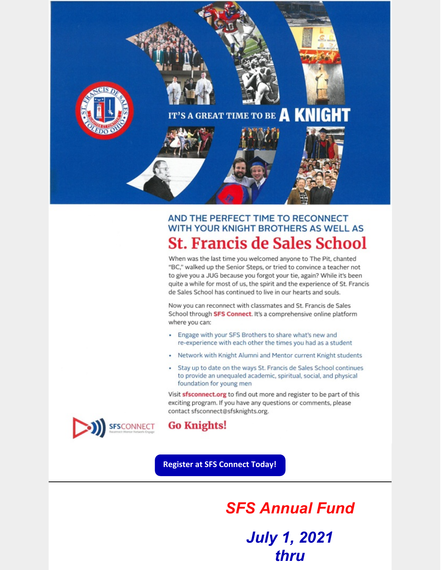

#### AND THE PERFECT TIME TO RECONNECT WITH YOUR KNIGHT BROTHERS AS WELL AS **St. Francis de Sales School**

When was the last time you welcomed anyone to The Pit, chanted "BC," walked up the Senior Steps, or tried to convince a teacher not to give you a JUG because you forgot your tie, again? While it's been quite a while for most of us, the spirit and the experience of St. Francis de Sales School has continued to live in our hearts and souls.

Now you can reconnect with classmates and St. Francis de Sales School through SFS Connect. It's a comprehensive online platform where you can:

- Engage with your SFS Brothers to share what's new and re-experience with each other the times you had as a student
- Network with Knight Alumni and Mentor current Knight students
- Stay up to date on the ways St. Francis de Sales School continues to provide an unequaled academic, spiritual, social, and physical foundation for young men

Visit sfsconnect.org to find out more and register to be part of this exciting program. If you have any questions or comments, please contact sfsconnect@sfsknights.org.



#### **Go Knights!**

**Register at SFS Connect Today!** 

**SFS Annual Fund July 1, 2021** thru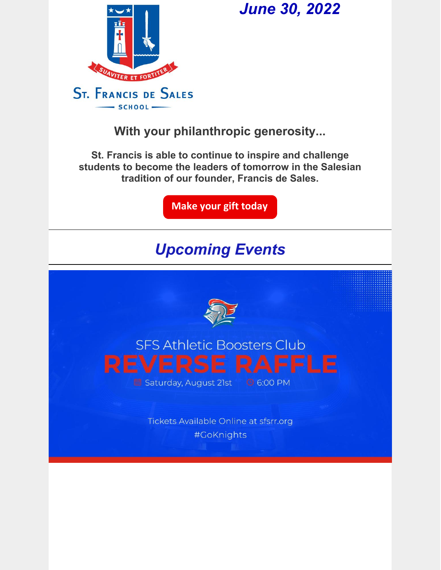

## *June 30, 2022*

**With your philanthropic generosity...**

**St. Francis is able to continue to inspire and challenge students to become the leaders of tomorrow in the Salesian tradition of our founder, Francis de Sales.**

**Make your gift [today](https://www.paypal.com/cgi-bin/webscr?cmd=_s-xclick&hosted_button_id=DRX2RYENKRT4Y)**

## *Upcoming Events*